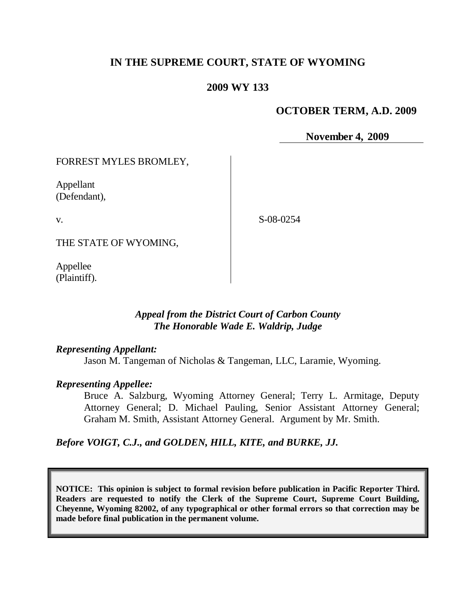# **IN THE SUPREME COURT, STATE OF WYOMING**

### **2009 WY 133**

### **OCTOBER TERM, A.D. 2009**

**November 4, 2009**

FORREST MYLES BROMLEY,

Appellant (Defendant),

v.

S-08-0254

THE STATE OF WYOMING,

Appellee (Plaintiff).

### *Appeal from the District Court of Carbon County The Honorable Wade E. Waldrip, Judge*

#### *Representing Appellant:*

Jason M. Tangeman of Nicholas & Tangeman, LLC, Laramie, Wyoming.

#### *Representing Appellee:*

Bruce A. Salzburg, Wyoming Attorney General; Terry L. Armitage, Deputy Attorney General; D. Michael Pauling, Senior Assistant Attorney General; Graham M. Smith, Assistant Attorney General. Argument by Mr. Smith.

*Before VOIGT, C.J., and GOLDEN, HILL, KITE, and BURKE, JJ.*

**NOTICE: This opinion is subject to formal revision before publication in Pacific Reporter Third. Readers are requested to notify the Clerk of the Supreme Court, Supreme Court Building, Cheyenne, Wyoming 82002, of any typographical or other formal errors so that correction may be made before final publication in the permanent volume.**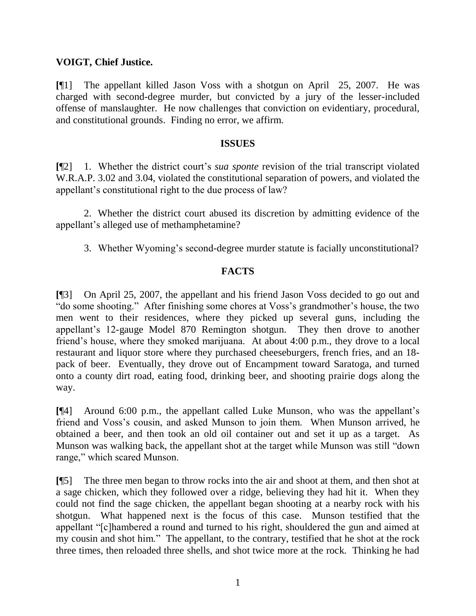## **VOIGT, Chief Justice.**

**[**¶1] The appellant killed Jason Voss with a shotgun on April 25, 2007. He was charged with second-degree murder, but convicted by a jury of the lesser-included offense of manslaughter. He now challenges that conviction on evidentiary, procedural, and constitutional grounds. Finding no error, we affirm.

#### **ISSUES**

**[**¶2] 1. Whether the district court's *sua sponte* revision of the trial transcript violated W.R.A.P. 3.02 and 3.04, violated the constitutional separation of powers, and violated the appellant's constitutional right to the due process of law?

2. Whether the district court abused its discretion by admitting evidence of the appellant's alleged use of methamphetamine?

3. Whether Wyoming's second-degree murder statute is facially unconstitutional?

## **FACTS**

**[**¶3] On April 25, 2007, the appellant and his friend Jason Voss decided to go out and "do some shooting." After finishing some chores at Voss's grandmother's house, the two men went to their residences, where they picked up several guns, including the appellant's 12-gauge Model 870 Remington shotgun. They then drove to another friend's house, where they smoked marijuana. At about 4:00 p.m., they drove to a local restaurant and liquor store where they purchased cheeseburgers, french fries, and an 18 pack of beer. Eventually, they drove out of Encampment toward Saratoga, and turned onto a county dirt road, eating food, drinking beer, and shooting prairie dogs along the way.

**[**¶4] Around 6:00 p.m., the appellant called Luke Munson, who was the appellant's friend and Voss's cousin, and asked Munson to join them. When Munson arrived, he obtained a beer, and then took an old oil container out and set it up as a target. As Munson was walking back, the appellant shot at the target while Munson was still "down" range," which scared Munson.

**[**¶5] The three men began to throw rocks into the air and shoot at them, and then shot at a sage chicken, which they followed over a ridge, believing they had hit it. When they could not find the sage chicken, the appellant began shooting at a nearby rock with his shotgun. What happened next is the focus of this case. Munson testified that the appellant "[c]hambered a round and turned to his right, shouldered the gun and aimed at my cousin and shot him." The appellant, to the contrary, testified that he shot at the rock three times, then reloaded three shells, and shot twice more at the rock. Thinking he had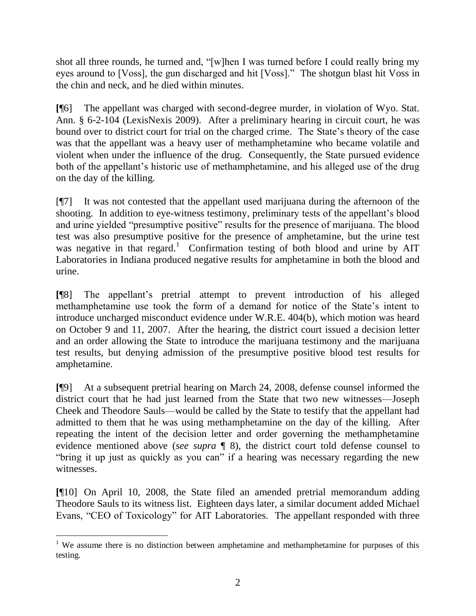shot all three rounds, he turned and, "[w]hen I was turned before I could really bring my eyes around to [Voss], the gun discharged and hit [Voss]." The shotgun blast hit Voss in the chin and neck, and he died within minutes.

**[**¶6] The appellant was charged with second-degree murder, in violation of Wyo. Stat. Ann. § 6-2-104 (LexisNexis 2009). After a preliminary hearing in circuit court, he was bound over to district court for trial on the charged crime. The State's theory of the case was that the appellant was a heavy user of methamphetamine who became volatile and violent when under the influence of the drug. Consequently, the State pursued evidence both of the appellant's historic use of methamphetamine, and his alleged use of the drug on the day of the killing.

[¶7] It was not contested that the appellant used marijuana during the afternoon of the shooting. In addition to eye-witness testimony, preliminary tests of the appellant's blood and urine yielded "presumptive positive" results for the presence of marijuana. The blood test was also presumptive positive for the presence of amphetamine, but the urine test was negative in that regard.<sup>1</sup> Confirmation testing of both blood and urine by  $\text{AIT}$ Laboratories in Indiana produced negative results for amphetamine in both the blood and urine.

**[**¶8] The appellant's pretrial attempt to prevent introduction of his alleged methamphetamine use took the form of a demand for notice of the State's intent to introduce uncharged misconduct evidence under W.R.E. 404(b), which motion was heard on October 9 and 11, 2007. After the hearing, the district court issued a decision letter and an order allowing the State to introduce the marijuana testimony and the marijuana test results, but denying admission of the presumptive positive blood test results for amphetamine.

**[**¶9] At a subsequent pretrial hearing on March 24, 2008, defense counsel informed the district court that he had just learned from the State that two new witnesses—Joseph Cheek and Theodore Sauls—would be called by the State to testify that the appellant had admitted to them that he was using methamphetamine on the day of the killing. After repeating the intent of the decision letter and order governing the methamphetamine evidence mentioned above (*see supra* ¶ 8), the district court told defense counsel to "bring it up just as quickly as you can" if a hearing was necessary regarding the new witnesses.

**[**¶10] On April 10, 2008, the State filed an amended pretrial memorandum adding Theodore Sauls to its witness list. Eighteen days later, a similar document added Michael Evans, "CEO of Toxicology" for AIT Laboratories. The appellant responded with three

 <sup>1</sup> We assume there is no distinction between amphetamine and methamphetamine for purposes of this testing.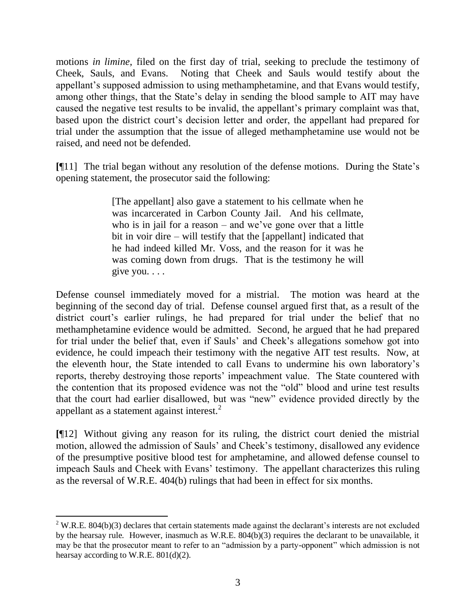motions *in limine*, filed on the first day of trial, seeking to preclude the testimony of Cheek, Sauls, and Evans. Noting that Cheek and Sauls would testify about the appellant's supposed admission to using methamphetamine, and that Evans would testify, among other things, that the State's delay in sending the blood sample to AIT may have caused the negative test results to be invalid, the appellant's primary complaint was that, based upon the district court's decision letter and order, the appellant had prepared for trial under the assumption that the issue of alleged methamphetamine use would not be raised, and need not be defended.

**[**¶11] The trial began without any resolution of the defense motions. During the State's opening statement, the prosecutor said the following:

> [The appellant] also gave a statement to his cellmate when he was incarcerated in Carbon County Jail. And his cellmate, who is in jail for a reason – and we've gone over that a little bit in voir dire – will testify that the [appellant] indicated that he had indeed killed Mr. Voss, and the reason for it was he was coming down from drugs. That is the testimony he will give you. . . .

Defense counsel immediately moved for a mistrial. The motion was heard at the beginning of the second day of trial. Defense counsel argued first that, as a result of the district court's earlier rulings, he had prepared for trial under the belief that no methamphetamine evidence would be admitted. Second, he argued that he had prepared for trial under the belief that, even if Sauls' and Cheek's allegations somehow got into evidence, he could impeach their testimony with the negative AIT test results. Now, at the eleventh hour, the State intended to call Evans to undermine his own laboratory's reports, thereby destroying those reports' impeachment value. The State countered with the contention that its proposed evidence was not the "old" blood and urine test results that the court had earlier disallowed, but was "new" evidence provided directly by the appellant as a statement against interest.<sup>2</sup>

**[**¶12] Without giving any reason for its ruling, the district court denied the mistrial motion, allowed the admission of Sauls' and Cheek's testimony, disallowed any evidence of the presumptive positive blood test for amphetamine, and allowed defense counsel to impeach Sauls and Cheek with Evans' testimony. The appellant characterizes this ruling as the reversal of W.R.E. 404(b) rulings that had been in effect for six months.

  $2$  W.R.E. 804(b)(3) declares that certain statements made against the declarant's interests are not excluded by the hearsay rule. However, inasmuch as W.R.E. 804(b)(3) requires the declarant to be unavailable, it may be that the prosecutor meant to refer to an "admission by a party-opponent" which admission is not hearsay according to W.R.E. 801(d)(2).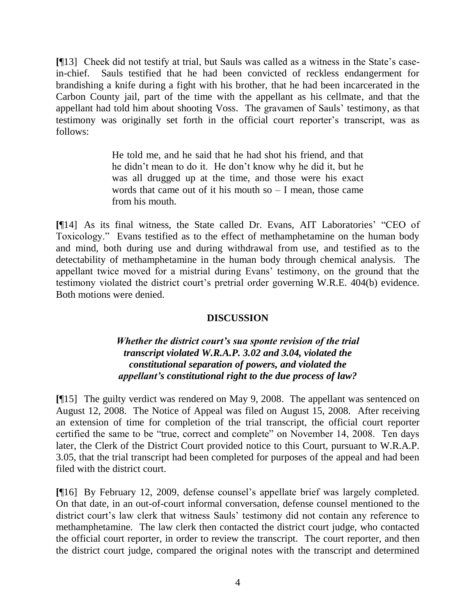**[**¶13] Cheek did not testify at trial, but Sauls was called as a witness in the State's casein-chief. Sauls testified that he had been convicted of reckless endangerment for brandishing a knife during a fight with his brother, that he had been incarcerated in the Carbon County jail, part of the time with the appellant as his cellmate, and that the appellant had told him about shooting Voss. The gravamen of Sauls' testimony, as that testimony was originally set forth in the official court reporter's transcript, was as follows:

> He told me, and he said that he had shot his friend, and that he didn't mean to do it. He don't know why he did it, but he was all drugged up at the time, and those were his exact words that came out of it his mouth so  $-$  I mean, those came from his mouth.

[¶14] As its final witness, the State called Dr. Evans, AIT Laboratories' "CEO of Toxicology." Evans testified as to the effect of methamphetamine on the human body and mind, both during use and during withdrawal from use, and testified as to the detectability of methamphetamine in the human body through chemical analysis. The appellant twice moved for a mistrial during Evans' testimony, on the ground that the testimony violated the district court's pretrial order governing W.R.E. 404(b) evidence. Both motions were denied.

## **DISCUSSION**

### *Whether the district court's sua sponte revision of the trial transcript violated W.R.A.P. 3.02 and 3.04, violated the constitutional separation of powers, and violated the appellant's constitutional right to the due process of law?*

**[**¶15] The guilty verdict was rendered on May 9, 2008. The appellant was sentenced on August 12, 2008. The Notice of Appeal was filed on August 15, 2008. After receiving an extension of time for completion of the trial transcript, the official court reporter certified the same to be "true, correct and complete" on November 14, 2008. Ten days later, the Clerk of the District Court provided notice to this Court, pursuant to W.R.A.P. 3.05, that the trial transcript had been completed for purposes of the appeal and had been filed with the district court.

**[**¶16] By February 12, 2009, defense counsel's appellate brief was largely completed. On that date, in an out-of-court informal conversation, defense counsel mentioned to the district court's law clerk that witness Sauls' testimony did not contain any reference to methamphetamine. The law clerk then contacted the district court judge, who contacted the official court reporter, in order to review the transcript. The court reporter, and then the district court judge, compared the original notes with the transcript and determined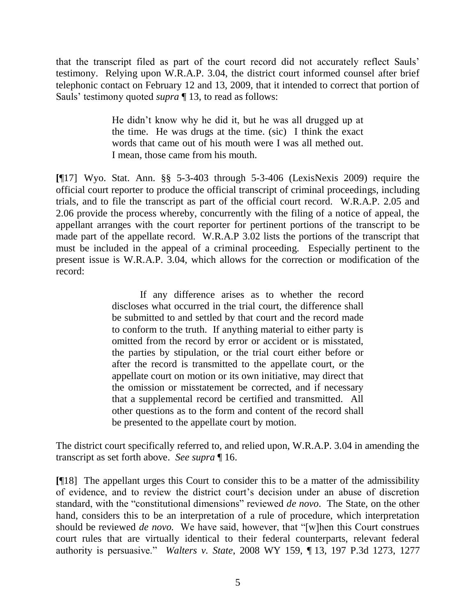that the transcript filed as part of the court record did not accurately reflect Sauls' testimony. Relying upon W.R.A.P. 3.04, the district court informed counsel after brief telephonic contact on February 12 and 13, 2009, that it intended to correct that portion of Sauls' testimony quoted *supra* ¶ 13, to read as follows:

> He didn't know why he did it, but he was all drugged up at the time. He was drugs at the time. (sic) I think the exact words that came out of his mouth were I was all methed out. I mean, those came from his mouth.

**[**¶17] Wyo. Stat. Ann. §§ 5-3-403 through 5-3-406 (LexisNexis 2009) require the official court reporter to produce the official transcript of criminal proceedings, including trials, and to file the transcript as part of the official court record. W.R.A.P. 2.05 and 2.06 provide the process whereby, concurrently with the filing of a notice of appeal, the appellant arranges with the court reporter for pertinent portions of the transcript to be made part of the appellate record. W.R.A.P 3.02 lists the portions of the transcript that must be included in the appeal of a criminal proceeding. Especially pertinent to the present issue is W.R.A.P. 3.04, which allows for the correction or modification of the record:

> If any difference arises as to whether the record discloses what occurred in the trial court, the difference shall be submitted to and settled by that court and the record made to conform to the truth. If anything material to either party is omitted from the record by error or accident or is misstated, the parties by stipulation, or the trial court either before or after the record is transmitted to the appellate court, or the appellate court on motion or its own initiative, may direct that the omission or misstatement be corrected, and if necessary that a supplemental record be certified and transmitted. All other questions as to the form and content of the record shall be presented to the appellate court by motion.

The district court specifically referred to, and relied upon, W.R.A.P. 3.04 in amending the transcript as set forth above. *See supra* ¶ 16.

**[**¶18] The appellant urges this Court to consider this to be a matter of the admissibility of evidence, and to review the district court's decision under an abuse of discretion standard, with the "constitutional dimensions" reviewed *de novo*. The State, on the other hand, considers this to be an interpretation of a rule of procedure, which interpretation should be reviewed *de novo*. We have said, however, that "[w]hen this Court construes court rules that are virtually identical to their federal counterparts, relevant federal authority is persuasive.‖ *Walters v. State*, 2008 WY 159, ¶ 13, 197 P.3d 1273, 1277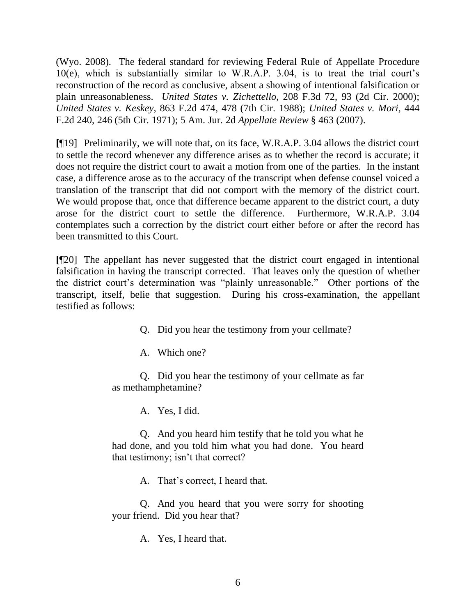(Wyo. 2008). The federal standard for reviewing Federal Rule of Appellate Procedure 10(e), which is substantially similar to W.R.A.P. 3.04, is to treat the trial court's reconstruction of the record as conclusive, absent a showing of intentional falsification or plain unreasonableness. *United States v. Zichettello*, 208 F.3d 72, 93 (2d Cir. 2000); *United States v. Keskey*, 863 F.2d 474, 478 (7th Cir. 1988); *United States v. Mori*, 444 F.2d 240, 246 (5th Cir. 1971); 5 Am. Jur. 2d *Appellate Review* § 463 (2007).

**[**¶19] Preliminarily, we will note that, on its face, W.R.A.P. 3.04 allows the district court to settle the record whenever any difference arises as to whether the record is accurate; it does not require the district court to await a motion from one of the parties. In the instant case, a difference arose as to the accuracy of the transcript when defense counsel voiced a translation of the transcript that did not comport with the memory of the district court. We would propose that, once that difference became apparent to the district court, a duty arose for the district court to settle the difference. Furthermore, W.R.A.P. 3.04 contemplates such a correction by the district court either before or after the record has been transmitted to this Court.

**[**¶20] The appellant has never suggested that the district court engaged in intentional falsification in having the transcript corrected. That leaves only the question of whether the district court's determination was "plainly unreasonable." Other portions of the transcript, itself, belie that suggestion. During his cross-examination, the appellant testified as follows:

Q. Did you hear the testimony from your cellmate?

A. Which one?

Q. Did you hear the testimony of your cellmate as far as methamphetamine?

A. Yes, I did.

Q. And you heard him testify that he told you what he had done, and you told him what you had done. You heard that testimony; isn't that correct?

A. That's correct, I heard that.

Q. And you heard that you were sorry for shooting your friend. Did you hear that?

A. Yes, I heard that.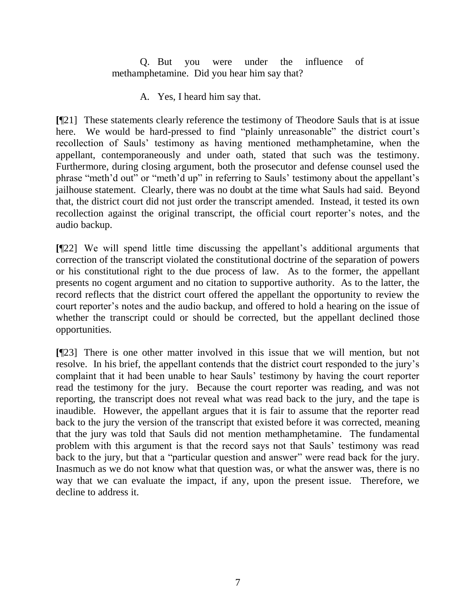Q. But you were under the influence of methamphetamine. Did you hear him say that?

A. Yes, I heard him say that.

**[**¶21] These statements clearly reference the testimony of Theodore Sauls that is at issue here. We would be hard-pressed to find "plainly unreasonable" the district court's recollection of Sauls' testimony as having mentioned methamphetamine, when the appellant, contemporaneously and under oath, stated that such was the testimony. Furthermore, during closing argument, both the prosecutor and defense counsel used the phrase "meth'd out" or "meth'd up" in referring to Sauls' testimony about the appellant's jailhouse statement. Clearly, there was no doubt at the time what Sauls had said. Beyond that, the district court did not just order the transcript amended. Instead, it tested its own recollection against the original transcript, the official court reporter's notes, and the audio backup.

**[**¶22] We will spend little time discussing the appellant's additional arguments that correction of the transcript violated the constitutional doctrine of the separation of powers or his constitutional right to the due process of law. As to the former, the appellant presents no cogent argument and no citation to supportive authority. As to the latter, the record reflects that the district court offered the appellant the opportunity to review the court reporter's notes and the audio backup, and offered to hold a hearing on the issue of whether the transcript could or should be corrected, but the appellant declined those opportunities.

**[**¶23] There is one other matter involved in this issue that we will mention, but not resolve. In his brief, the appellant contends that the district court responded to the jury's complaint that it had been unable to hear Sauls' testimony by having the court reporter read the testimony for the jury. Because the court reporter was reading, and was not reporting, the transcript does not reveal what was read back to the jury, and the tape is inaudible. However, the appellant argues that it is fair to assume that the reporter read back to the jury the version of the transcript that existed before it was corrected, meaning that the jury was told that Sauls did not mention methamphetamine. The fundamental problem with this argument is that the record says not that Sauls' testimony was read back to the jury, but that a "particular question and answer" were read back for the jury. Inasmuch as we do not know what that question was, or what the answer was, there is no way that we can evaluate the impact, if any, upon the present issue. Therefore, we decline to address it.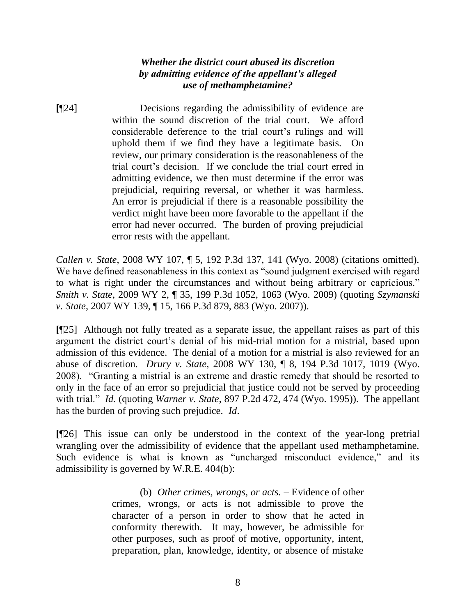## *Whether the district court abused its discretion by admitting evidence of the appellant's alleged use of methamphetamine?*

**[**¶24] Decisions regarding the admissibility of evidence are within the sound discretion of the trial court. We afford considerable deference to the trial court's rulings and will uphold them if we find they have a legitimate basis. On review, our primary consideration is the reasonableness of the trial court's decision. If we conclude the trial court erred in admitting evidence, we then must determine if the error was prejudicial, requiring reversal, or whether it was harmless. An error is prejudicial if there is a reasonable possibility the verdict might have been more favorable to the appellant if the error had never occurred. The burden of proving prejudicial error rests with the appellant.

*Callen v. State*, 2008 WY 107, ¶ 5, 192 P.3d 137, 141 (Wyo. 2008) (citations omitted). We have defined reasonableness in this context as "sound judgment exercised with regard to what is right under the circumstances and without being arbitrary or capricious." *Smith v. State*, 2009 WY 2, ¶ 35, 199 P.3d 1052, 1063 (Wyo. 2009) (quoting *Szymanski v. State*, 2007 WY 139, ¶ 15, 166 P.3d 879, 883 (Wyo. 2007)).

**[**¶25] Although not fully treated as a separate issue, the appellant raises as part of this argument the district court's denial of his mid-trial motion for a mistrial, based upon admission of this evidence. The denial of a motion for a mistrial is also reviewed for an abuse of discretion. *Drury v. State*, 2008 WY 130, ¶ 8, 194 P.3d 1017, 1019 (Wyo. 2008). "Granting a mistrial is an extreme and drastic remedy that should be resorted to only in the face of an error so prejudicial that justice could not be served by proceeding with trial." *Id.* (quoting *Warner v. State*, 897 P.2d 472, 474 (Wyo. 1995)). The appellant has the burden of proving such prejudice. *Id*.

**[**¶26] This issue can only be understood in the context of the year-long pretrial wrangling over the admissibility of evidence that the appellant used methamphetamine. Such evidence is what is known as "uncharged misconduct evidence," and its admissibility is governed by W.R.E. 404(b):

> (b) *Other crimes, wrongs, or acts.* – Evidence of other crimes, wrongs, or acts is not admissible to prove the character of a person in order to show that he acted in conformity therewith. It may, however, be admissible for other purposes, such as proof of motive, opportunity, intent, preparation, plan, knowledge, identity, or absence of mistake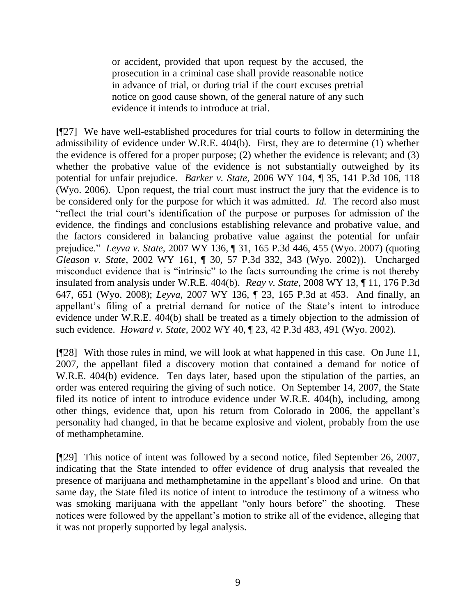or accident, provided that upon request by the accused, the prosecution in a criminal case shall provide reasonable notice in advance of trial, or during trial if the court excuses pretrial notice on good cause shown, of the general nature of any such evidence it intends to introduce at trial.

**[**¶27] We have well-established procedures for trial courts to follow in determining the admissibility of evidence under W.R.E. 404(b). First, they are to determine (1) whether the evidence is offered for a proper purpose; (2) whether the evidence is relevant; and (3) whether the probative value of the evidence is not substantially outweighed by its potential for unfair prejudice. *Barker v. State*, 2006 WY 104, ¶ 35, 141 P.3d 106, 118 (Wyo. 2006). Upon request, the trial court must instruct the jury that the evidence is to be considered only for the purpose for which it was admitted. *Id.* The record also must ―reflect the trial court's identification of the purpose or purposes for admission of the evidence, the findings and conclusions establishing relevance and probative value, and the factors considered in balancing probative value against the potential for unfair prejudice.‖ *Leyva v. State*, 2007 WY 136, ¶ 31, 165 P.3d 446, 455 (Wyo. 2007) (quoting *Gleason v. State*, 2002 WY 161, ¶ 30, 57 P.3d 332, 343 (Wyo. 2002)). Uncharged misconduct evidence that is "intrinsic" to the facts surrounding the crime is not thereby insulated from analysis under W.R.E. 404(b). *Reay v. State*, 2008 WY 13, ¶ 11, 176 P.3d 647, 651 (Wyo. 2008); *Leyva*, 2007 WY 136, ¶ 23, 165 P.3d at 453. And finally, an appellant's filing of a pretrial demand for notice of the State's intent to introduce evidence under W.R.E. 404(b) shall be treated as a timely objection to the admission of such evidence. *Howard v. State*, 2002 WY 40, ¶ 23, 42 P.3d 483, 491 (Wyo. 2002).

**[**¶28] With those rules in mind, we will look at what happened in this case. On June 11, 2007, the appellant filed a discovery motion that contained a demand for notice of W.R.E. 404(b) evidence. Ten days later, based upon the stipulation of the parties, an order was entered requiring the giving of such notice. On September 14, 2007, the State filed its notice of intent to introduce evidence under W.R.E. 404(b), including, among other things, evidence that, upon his return from Colorado in 2006, the appellant's personality had changed, in that he became explosive and violent, probably from the use of methamphetamine.

**[**¶29] This notice of intent was followed by a second notice, filed September 26, 2007, indicating that the State intended to offer evidence of drug analysis that revealed the presence of marijuana and methamphetamine in the appellant's blood and urine. On that same day, the State filed its notice of intent to introduce the testimony of a witness who was smoking marijuana with the appellant "only hours before" the shooting. These notices were followed by the appellant's motion to strike all of the evidence, alleging that it was not properly supported by legal analysis.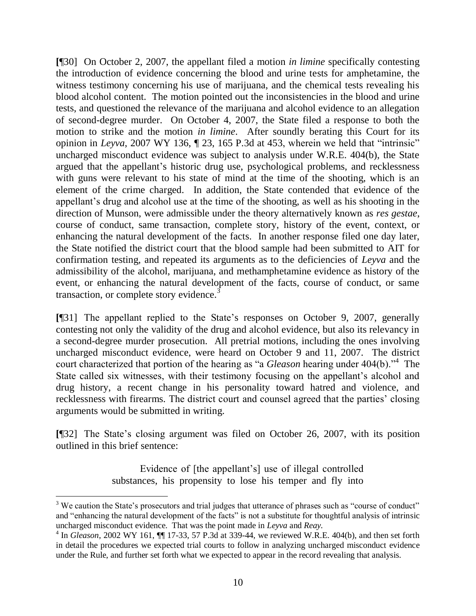**[**¶30] On October 2, 2007, the appellant filed a motion *in limine* specifically contesting the introduction of evidence concerning the blood and urine tests for amphetamine, the witness testimony concerning his use of marijuana, and the chemical tests revealing his blood alcohol content. The motion pointed out the inconsistencies in the blood and urine tests, and questioned the relevance of the marijuana and alcohol evidence to an allegation of second-degree murder. On October 4, 2007, the State filed a response to both the motion to strike and the motion *in limine*. After soundly berating this Court for its opinion in *Leyva*, 2007 WY 136,  $\parallel$  23, 165 P.3d at 453, wherein we held that "intrinsic" uncharged misconduct evidence was subject to analysis under W.R.E. 404(b), the State argued that the appellant's historic drug use, psychological problems, and recklessness with guns were relevant to his state of mind at the time of the shooting, which is an element of the crime charged. In addition, the State contended that evidence of the appellant's drug and alcohol use at the time of the shooting, as well as his shooting in the direction of Munson, were admissible under the theory alternatively known as *res gestae*, course of conduct, same transaction, complete story, history of the event, context, or enhancing the natural development of the facts. In another response filed one day later, the State notified the district court that the blood sample had been submitted to AIT for confirmation testing, and repeated its arguments as to the deficiencies of *Leyva* and the admissibility of the alcohol, marijuana, and methamphetamine evidence as history of the event, or enhancing the natural development of the facts, course of conduct, or same transaction, or complete story evidence.<sup>3</sup>

**[**¶31] The appellant replied to the State's responses on October 9, 2007, generally contesting not only the validity of the drug and alcohol evidence, but also its relevancy in a second-degree murder prosecution. All pretrial motions, including the ones involving uncharged misconduct evidence, were heard on October 9 and 11, 2007. The district court characterized that portion of the hearing as "a *Gleason* hearing under 404(b)."<sup>4</sup> The State called six witnesses, with their testimony focusing on the appellant's alcohol and drug history, a recent change in his personality toward hatred and violence, and recklessness with firearms. The district court and counsel agreed that the parties' closing arguments would be submitted in writing.

**[**¶32] The State's closing argument was filed on October 26, 2007, with its position outlined in this brief sentence:

> Evidence of [the appellant's] use of illegal controlled substances, his propensity to lose his temper and fly into

 $3$  We caution the State's prosecutors and trial judges that utterance of phrases such as "course of conduct" and "enhancing the natural development of the facts" is not a substitute for thoughtful analysis of intrinsic uncharged misconduct evidence. That was the point made in *Leyva* and *Reay.*

 $^{4}$  In *Gleason*, 2002 WY 161,  $\P$  17-33, 57 P.3d at 339-44, we reviewed W.R.E. 404(b), and then set forth in detail the procedures we expected trial courts to follow in analyzing uncharged misconduct evidence under the Rule, and further set forth what we expected to appear in the record revealing that analysis.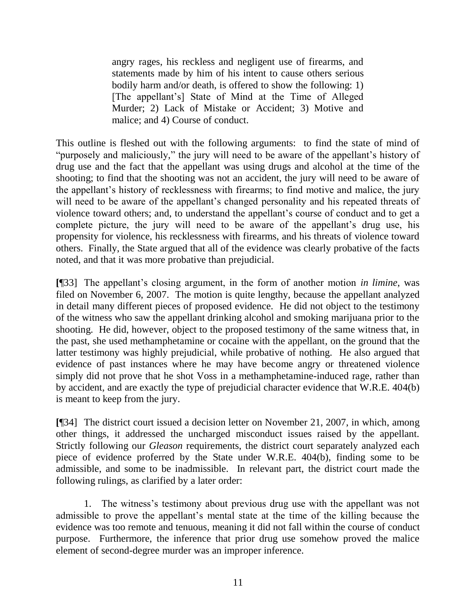angry rages, his reckless and negligent use of firearms, and statements made by him of his intent to cause others serious bodily harm and/or death, is offered to show the following: 1) [The appellant's] State of Mind at the Time of Alleged Murder; 2) Lack of Mistake or Accident; 3) Motive and malice; and 4) Course of conduct.

This outline is fleshed out with the following arguments: to find the state of mind of "purposely and maliciously," the jury will need to be aware of the appellant's history of drug use and the fact that the appellant was using drugs and alcohol at the time of the shooting; to find that the shooting was not an accident, the jury will need to be aware of the appellant's history of recklessness with firearms; to find motive and malice, the jury will need to be aware of the appellant's changed personality and his repeated threats of violence toward others; and, to understand the appellant's course of conduct and to get a complete picture, the jury will need to be aware of the appellant's drug use, his propensity for violence, his recklessness with firearms, and his threats of violence toward others. Finally, the State argued that all of the evidence was clearly probative of the facts noted, and that it was more probative than prejudicial.

**[**¶33] The appellant's closing argument, in the form of another motion *in limine*, was filed on November 6, 2007. The motion is quite lengthy, because the appellant analyzed in detail many different pieces of proposed evidence. He did not object to the testimony of the witness who saw the appellant drinking alcohol and smoking marijuana prior to the shooting. He did, however, object to the proposed testimony of the same witness that, in the past, she used methamphetamine or cocaine with the appellant, on the ground that the latter testimony was highly prejudicial, while probative of nothing. He also argued that evidence of past instances where he may have become angry or threatened violence simply did not prove that he shot Voss in a methamphetamine-induced rage, rather than by accident, and are exactly the type of prejudicial character evidence that W.R.E. 404(b) is meant to keep from the jury.

**[**¶34] The district court issued a decision letter on November 21, 2007, in which, among other things, it addressed the uncharged misconduct issues raised by the appellant. Strictly following our *Gleason* requirements, the district court separately analyzed each piece of evidence proferred by the State under W.R.E. 404(b), finding some to be admissible, and some to be inadmissible. In relevant part, the district court made the following rulings, as clarified by a later order:

1. The witness's testimony about previous drug use with the appellant was not admissible to prove the appellant's mental state at the time of the killing because the evidence was too remote and tenuous, meaning it did not fall within the course of conduct purpose. Furthermore, the inference that prior drug use somehow proved the malice element of second-degree murder was an improper inference.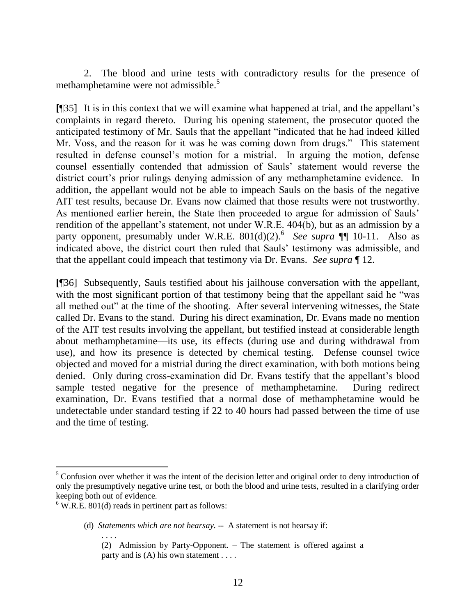2. The blood and urine tests with contradictory results for the presence of methamphetamine were not admissible.<sup>5</sup>

**[**¶35] It is in this context that we will examine what happened at trial, and the appellant's complaints in regard thereto. During his opening statement, the prosecutor quoted the anticipated testimony of Mr. Sauls that the appellant "indicated that he had indeed killed Mr. Voss, and the reason for it was he was coming down from drugs." This statement resulted in defense counsel's motion for a mistrial. In arguing the motion, defense counsel essentially contended that admission of Sauls' statement would reverse the district court's prior rulings denying admission of any methamphetamine evidence. In addition, the appellant would not be able to impeach Sauls on the basis of the negative AIT test results, because Dr. Evans now claimed that those results were not trustworthy. As mentioned earlier herein, the State then proceeded to argue for admission of Sauls' rendition of the appellant's statement, not under W.R.E. 404(b), but as an admission by a party opponent, presumably under W.R.E.  $801(d)(2)$ .<sup>6</sup> See supra ¶ 10-11. Also as indicated above, the district court then ruled that Sauls' testimony was admissible, and that the appellant could impeach that testimony via Dr. Evans. *See supra* ¶ 12.

**[**¶36] Subsequently, Sauls testified about his jailhouse conversation with the appellant, with the most significant portion of that testimony being that the appellant said he "was all methed out" at the time of the shooting. After several intervening witnesses, the State called Dr. Evans to the stand. During his direct examination, Dr. Evans made no mention of the AIT test results involving the appellant, but testified instead at considerable length about methamphetamine—its use, its effects (during use and during withdrawal from use), and how its presence is detected by chemical testing. Defense counsel twice objected and moved for a mistrial during the direct examination, with both motions being denied. Only during cross-examination did Dr. Evans testify that the appellant's blood sample tested negative for the presence of methamphetamine. During redirect examination, Dr. Evans testified that a normal dose of methamphetamine would be undetectable under standard testing if 22 to 40 hours had passed between the time of use and the time of testing.

. . . .

<sup>&</sup>lt;sup>5</sup> Confusion over whether it was the intent of the decision letter and original order to deny introduction of only the presumptively negative urine test, or both the blood and urine tests, resulted in a clarifying order keeping both out of evidence.

 $6$  W.R.E. 801(d) reads in pertinent part as follows:

<sup>(</sup>d) *Statements which are not hearsay*. -- A statement is not hearsay if:

<sup>(2)</sup> Admission by Party-Opponent. – The statement is offered against a party and is (A) his own statement . . . .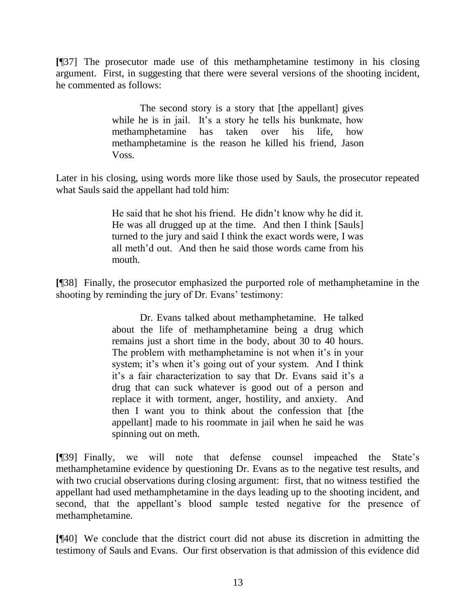**[**¶37] The prosecutor made use of this methamphetamine testimony in his closing argument. First, in suggesting that there were several versions of the shooting incident, he commented as follows:

> The second story is a story that [the appellant] gives while he is in jail. It's a story he tells his bunkmate, how methamphetamine has taken over his life, how methamphetamine is the reason he killed his friend, Jason Voss.

Later in his closing, using words more like those used by Sauls, the prosecutor repeated what Sauls said the appellant had told him:

> He said that he shot his friend. He didn't know why he did it. He was all drugged up at the time. And then I think [Sauls] turned to the jury and said I think the exact words were, I was all meth'd out. And then he said those words came from his mouth.

**[**¶38] Finally, the prosecutor emphasized the purported role of methamphetamine in the shooting by reminding the jury of Dr. Evans' testimony:

> Dr. Evans talked about methamphetamine. He talked about the life of methamphetamine being a drug which remains just a short time in the body, about 30 to 40 hours. The problem with methamphetamine is not when it's in your system; it's when it's going out of your system. And I think it's a fair characterization to say that Dr. Evans said it's a drug that can suck whatever is good out of a person and replace it with torment, anger, hostility, and anxiety. And then I want you to think about the confession that [the appellant] made to his roommate in jail when he said he was spinning out on meth.

**[**¶39] Finally, we will note that defense counsel impeached the State's methamphetamine evidence by questioning Dr. Evans as to the negative test results, and with two crucial observations during closing argument: first, that no witness testified the appellant had used methamphetamine in the days leading up to the shooting incident, and second, that the appellant's blood sample tested negative for the presence of methamphetamine.

**[**¶40] We conclude that the district court did not abuse its discretion in admitting the testimony of Sauls and Evans. Our first observation is that admission of this evidence did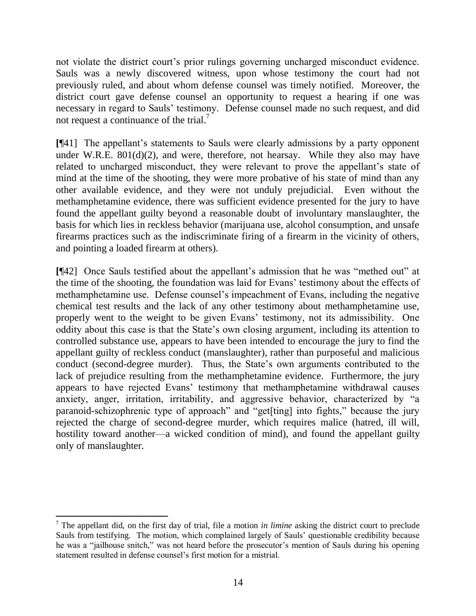not violate the district court's prior rulings governing uncharged misconduct evidence. Sauls was a newly discovered witness, upon whose testimony the court had not previously ruled, and about whom defense counsel was timely notified. Moreover, the district court gave defense counsel an opportunity to request a hearing if one was necessary in regard to Sauls' testimony. Defense counsel made no such request, and did not request a continuance of the trial.<sup>7</sup>

**[**¶41] The appellant's statements to Sauls were clearly admissions by a party opponent under W.R.E.  $801(d)(2)$ , and were, therefore, not hearsay. While they also may have related to uncharged misconduct, they were relevant to prove the appellant's state of mind at the time of the shooting, they were more probative of his state of mind than any other available evidence, and they were not unduly prejudicial. Even without the methamphetamine evidence, there was sufficient evidence presented for the jury to have found the appellant guilty beyond a reasonable doubt of involuntary manslaughter, the basis for which lies in reckless behavior (marijuana use, alcohol consumption, and unsafe firearms practices such as the indiscriminate firing of a firearm in the vicinity of others, and pointing a loaded firearm at others).

**[**¶42] Once Sauls testified about the appellant's admission that he was "methed out" at the time of the shooting, the foundation was laid for Evans' testimony about the effects of methamphetamine use. Defense counsel's impeachment of Evans, including the negative chemical test results and the lack of any other testimony about methamphetamine use, properly went to the weight to be given Evans' testimony, not its admissibility. One oddity about this case is that the State's own closing argument, including its attention to controlled substance use, appears to have been intended to encourage the jury to find the appellant guilty of reckless conduct (manslaughter), rather than purposeful and malicious conduct (second-degree murder). Thus, the State's own arguments contributed to the lack of prejudice resulting from the methamphetamine evidence. Furthermore, the jury appears to have rejected Evans' testimony that methamphetamine withdrawal causes anxiety, anger, irritation, irritability, and aggressive behavior, characterized by "a paranoid-schizophrenic type of approach" and "get[ting] into fights," because the jury rejected the charge of second-degree murder, which requires malice (hatred, ill will, hostility toward another—a wicked condition of mind), and found the appellant guilty only of manslaughter.

 <sup>7</sup> The appellant did, on the first day of trial, file a motion *in limine* asking the district court to preclude Sauls from testifying. The motion, which complained largely of Sauls' questionable credibility because he was a "jailhouse snitch," was not heard before the prosecutor's mention of Sauls during his opening statement resulted in defense counsel's first motion for a mistrial.